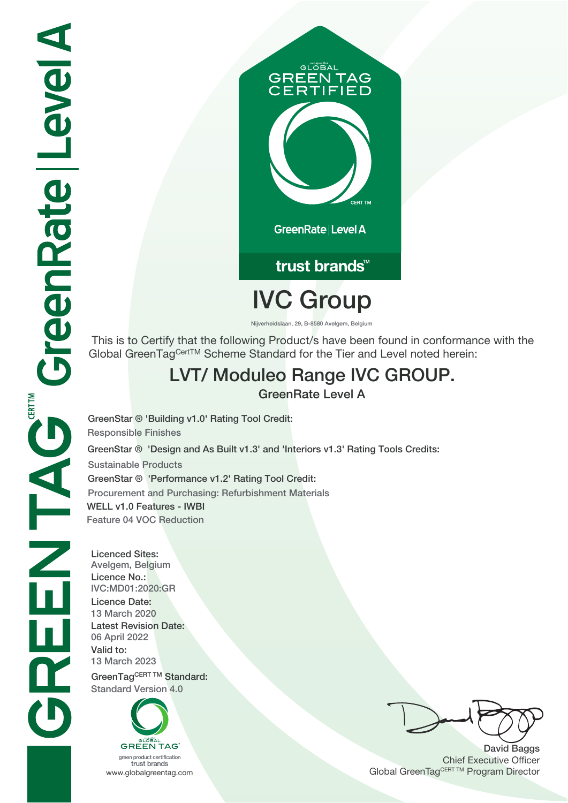

# trust brands<sup>™</sup>

# **IVC Group**

**Nijverheidslaan, 29, B-8580 Avelgem, Belgium**

 This is to Certify that the following Product/s have been found in conformance with the Global GreenTagCertTM Scheme Standard for the Tier and Level noted herein:

### **LVT/ Moduleo Range IVC GROUP.**

**GreenRate Level A**

**GreenStar ® 'Design and As Built v1.3' and 'Interiors v1.3' Rating Tools Credits: Sustainable Products GreenStar ® 'Performance v1.2' Rating Tool Credit: Procurement and Purchasing: Refurbishment Materials WELL v1.0 Features - IWBI Feature 04 VOC Reduction GreenStar ® 'Building v1.0' Rating Tool Credit: Responsible Finishes**

**Licenced Sites: Avelgem, Belgium Licence No.: IVC:MD01:2020:GR Licence Date: 13 March 2020 Latest Revision Date: 06 April 2022 Valid to: 13 March 2023** GreenTagCERT TM Standard: **Standard Version 4.0**



trust brands

**David Baggs** Chief Executive Officer WWW.globalgreentag.com **Program Director** Clobal GreenTagCERT TM Program Director